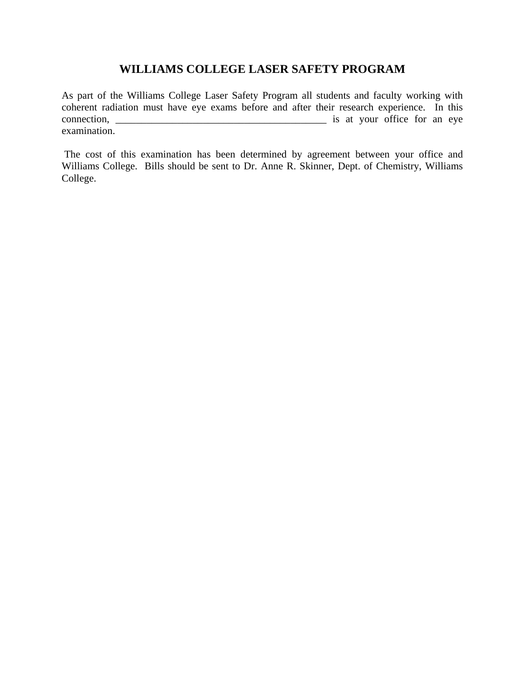# **WILLIAMS COLLEGE LASER SAFETY PROGRAM**

As part of the Williams College Laser Safety Program all students and faculty working with coherent radiation must have eye exams before and after their research experience. In this connection, \_\_\_\_\_\_\_\_\_\_\_\_\_\_\_\_\_\_\_\_\_\_\_\_\_\_\_\_\_\_\_\_\_\_\_\_\_\_\_\_\_ is at your office for an eye examination.

 The cost of this examination has been determined by agreement between your office and Williams College. Bills should be sent to Dr. Anne R. Skinner, Dept. of Chemistry, Williams College.